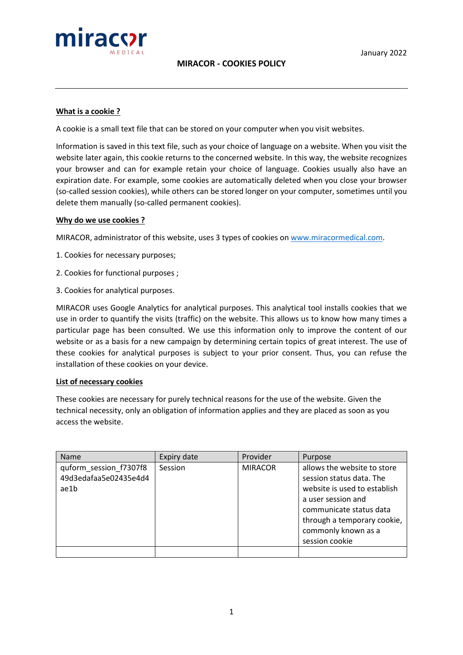

### **What is a cookie ?**

A cookie is a small text file that can be stored on your computer when you visit websites.

Information is saved in this text file, such as your choice of language on a website. When you visit the website later again, this cookie returns to the concerned website. In this way, the website recognizes your browser and can for example retain your choice of language. Cookies usually also have an expiration date. For example, some cookies are automatically deleted when you close your browser (so-called session cookies), while others can be stored longer on your computer, sometimes until you delete them manually (so-called permanent cookies).

#### **Why do we use cookies ?**

MIRACOR, administrator of this website, uses 3 types of cookies on [www.miracormedical.com.](http://www.miracormedical.com/)

- 1. Cookies for necessary purposes;
- 2. Cookies for functional purposes ;
- 3. Cookies for analytical purposes.

MIRACOR uses Google Analytics for analytical purposes. This analytical tool installs cookies that we use in order to quantify the visits (traffic) on the website. This allows us to know how many times a particular page has been consulted. We use this information only to improve the content of our website or as a basis for a new campaign by determining certain topics of great interest. The use of these cookies for analytical purposes is subject to your prior consent. Thus, you can refuse the installation of these cookies on your device.

#### **List of necessary cookies**

These cookies are necessary for purely technical reasons for the use of the website. Given the technical necessity, only an obligation of information applies and they are placed as soon as you access the website.

| Name                                                    | Expiry date | Provider       | Purpose                                                                                                                                                                                                          |
|---------------------------------------------------------|-------------|----------------|------------------------------------------------------------------------------------------------------------------------------------------------------------------------------------------------------------------|
| quform session f7307f8<br>49d3edafaa5e02435e4d4<br>ae1b | Session     | <b>MIRACOR</b> | allows the website to store<br>session status data. The<br>website is used to establish<br>a user session and<br>communicate status data<br>through a temporary cookie,<br>commonly known as a<br>session cookie |
|                                                         |             |                |                                                                                                                                                                                                                  |